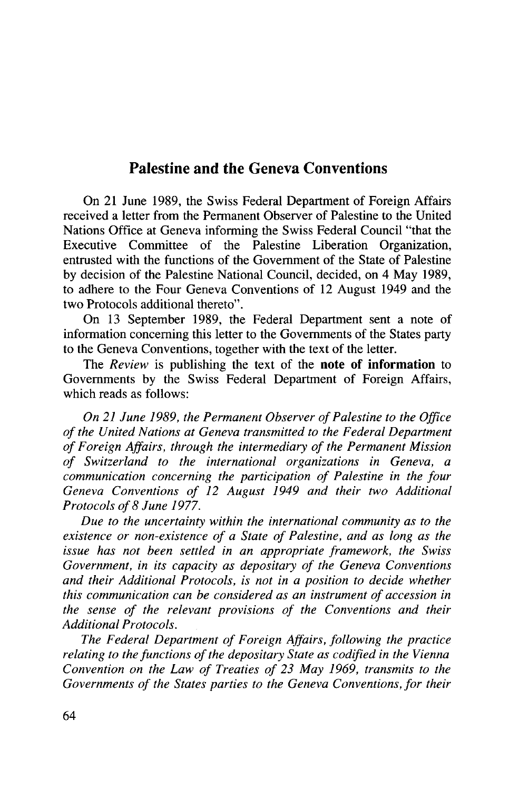## Palestine and the Geneva Conventions

On 21 June 1989, the Swiss Federal Department of Foreign Affairs received a letter from the Permanent Observer of Palestine to the United Nations Office at Geneva informing the Swiss Federal Council "that the Executive Committee of the Palestine Liberation Organization, entrusted with the functions of the Government of the State of Palestine by decision of the Palestine National Council, decided, on 4 May 1989, to adhere to the Four Geneva Conventions of 12 August 1949 and the two Protocols additional thereto".

On 13 September 1989, the Federal Department sent a note of information concerning this letter to the Governments of the States party to the Geneva Conventions, together with the text of the letter.

The *Review* is publishing the text of the **note of information** to Governments by the Swiss Federal Department of Foreign Affairs, which reads as follows:

*On 21 June 1989, the Permanent Observer of Palestine to the Office of the United Nations at Geneva transmitted to the Federal Department of Foreign Affairs, through the intermediary of the Permanent Mission of Switzerland to the international organizations in Geneva, a communication concerning the participation of Palestine in the four Geneva Conventions of 12 August 1949 and their two Additional Protocols of 8 June 1977.*

*Due to the uncertainty within the international community as to the existence or non-existence of a State of Palestine, and as long as the issue has not been settled in an appropriate framework, the Swiss Government, in its capacity as depositary of the Geneva Conventions and their Additional Protocols, is not in a position to decide whether this communication can be considered as an instrument of accession in the sense of the relevant provisions of the Conventions and their Additional Protocols.*

*The Federal Department of Foreign Affairs, following the practice relating to the functions of the depositary State as codified in the Vienna Convention on the Law of Treaties of 23 May 1969, transmits to the Governments of the States parties to the Geneva Conventions, for their*